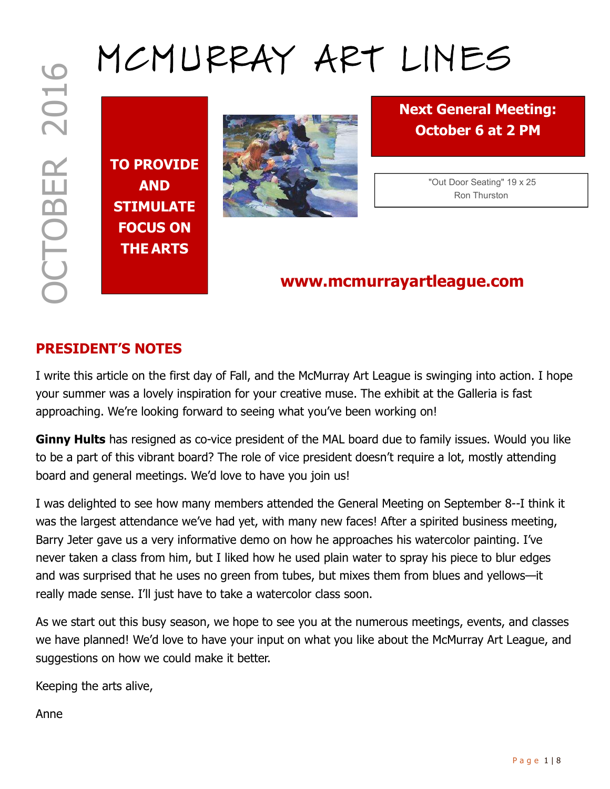# MCMURRAY ART LINES

TO PROVIDE AND STIMULATE FOCUS ON THE ARTS



Next General Meeting: October 6 at 2 PM

> "Out Door Seating" 19 x 25 Ron Thurston

# www.mcmurrayartleague.com

## PRESIDENT'S NOTES

I write this article on the first day of Fall, and the McMurray Art League is swinging into action. I hope your summer was a lovely inspiration for your creative muse. The exhibit at the Galleria is fast approaching. We're looking forward to seeing what you've been working on!

Ginny Hults has resigned as co-vice president of the MAL board due to family issues. Would you like to be a part of this vibrant board? The role of vice president doesn't require a lot, mostly attending board and general meetings. We'd love to have you join us!

P B B and the Mexican Content of the MAL board due to family and content of the MAL board of the MC of the MC of the MC of the MC of the MC of the MC of the MC of the MC of the MC of the MC of the MC of the MC of the MC o I was delighted to see how many members attended the General Meeting on September 8--I think it was the largest attendance we've had yet, with many new faces! After a spirited business meeting, Barry Jeter gave us a very informative demo on how he approaches his watercolor painting. I've never taken a class from him, but I liked how he used plain water to spray his piece to blur edges and was surprised that he uses no green from tubes, but mixes them from blues and yellows—it really made sense. I'll just have to take a watercolor class soon.

As we start out this busy season, we hope to see you at the numerous meetings, events, and classes we have planned! We'd love to have your input on what you like about the McMurray Art League, and suggestions on how we could make it better.

Keeping the arts alive,

Anne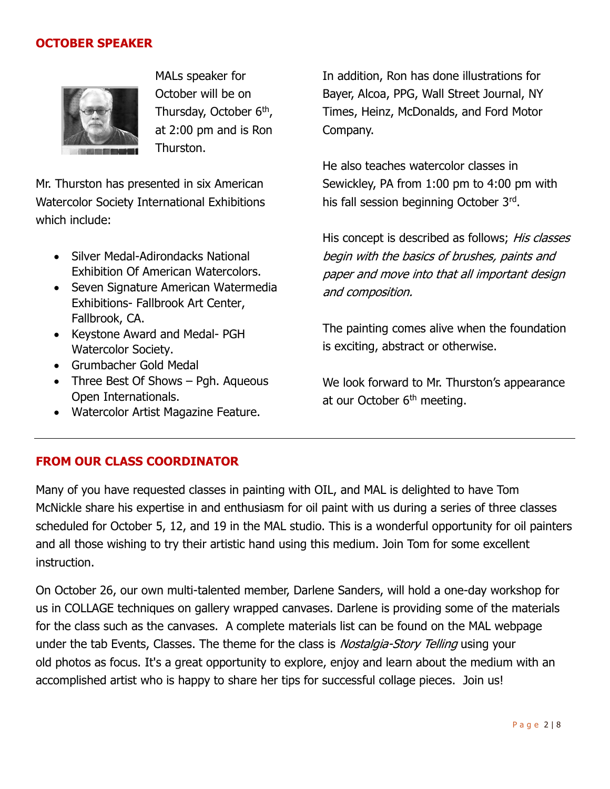#### OCTOBER SPEAKER



MALs speaker for October will be on Thursday, October 6<sup>th</sup>, at 2:00 pm and is Ron Thurston.

Mr. Thurston has presented in six American Watercolor Society International Exhibitions which include:

- Silver Medal-Adirondacks National Exhibition Of American Watercolors.
- Seven Signature American Watermedia Exhibitions- Fallbrook Art Center, Fallbrook, CA.
- Keystone Award and Medal- PGH Watercolor Society.
- Grumbacher Gold Medal
- Three Best Of Shows Pgh. Aqueous Open Internationals.
- Watercolor Artist Magazine Feature.

In addition, Ron has done illustrations for Bayer, Alcoa, PPG, Wall Street Journal, NY Times, Heinz, McDonalds, and Ford Motor Company.

He also teaches watercolor classes in Sewickley, PA from 1:00 pm to 4:00 pm with his fall session beginning October 3rd.

His concept is described as follows; His classes begin with the basics of brushes, paints and paper and move into that all important design and composition.

The painting comes alive when the foundation is exciting, abstract or otherwise.

We look forward to Mr. Thurston's appearance at our October 6<sup>th</sup> meeting.

#### FROM OUR CLASS COORDINATOR

Many of you have requested classes in painting with OIL, and MAL is delighted to have Tom McNickle share his expertise in and enthusiasm for oil paint with us during a series of three classes scheduled for October 5, 12, and 19 in the MAL studio. This is a wonderful opportunity for oil painters and all those wishing to try their artistic hand using this medium. Join Tom for some excellent instruction.

On October 26, our own multi-talented member, Darlene Sanders, will hold a one-day workshop for us in COLLAGE techniques on gallery wrapped canvases. Darlene is providing some of the materials for the class such as the canvases. A complete materials list can be found on the MAL webpage under the tab Events, Classes. The theme for the class is *Nostalgia-Story Telling* using your old photos as focus. It's a great opportunity to explore, enjoy and learn about the medium with an accomplished artist who is happy to share her tips for successful collage pieces. Join us!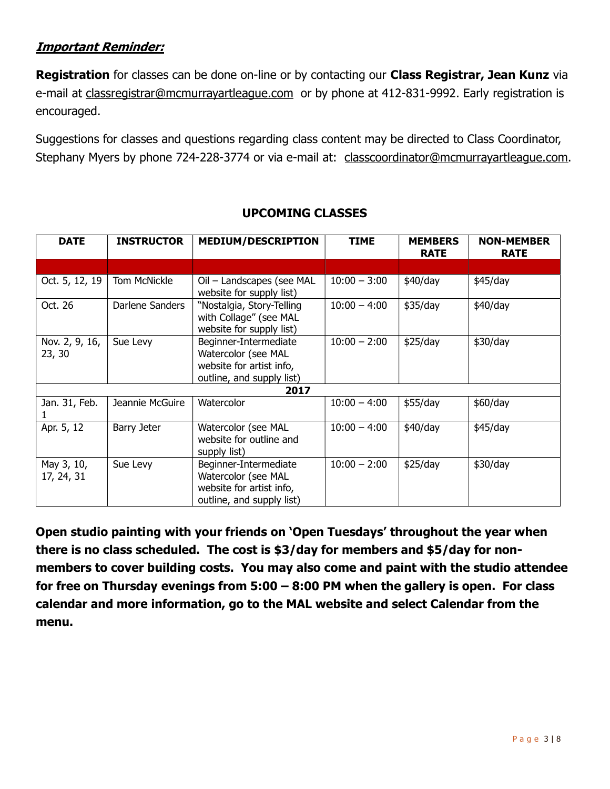#### Important Reminder:

Registration for classes can be done on-line or by contacting our Class Registrar, Jean Kunz via e-mail at classregistrar@mcmurrayartleague.com or by phone at 412-831-9992. Early registration is encouraged.

Suggestions for classes and questions regarding class content may be directed to Class Coordinator, Stephany Myers by phone 724-228-3774 or via e-mail at: classcoordinator@mcmurrayartleague.com.

| <b>DATE</b>              | <b>INSTRUCTOR</b> | <b>MEDIUM/DESCRIPTION</b>                                                                             | <b>TIME</b>    | <b>MEMBERS</b><br><b>RATE</b> | <b>NON-MEMBER</b><br><b>RATE</b> |  |  |
|--------------------------|-------------------|-------------------------------------------------------------------------------------------------------|----------------|-------------------------------|----------------------------------|--|--|
|                          |                   |                                                                                                       |                |                               |                                  |  |  |
| Oct. 5, 12, 19           | Tom McNickle      | Oil - Landscapes (see MAL<br>website for supply list)                                                 | $10:00 - 3:00$ | \$40/day                      | $$45$ /day                       |  |  |
| Oct. 26                  | Darlene Sanders   | "Nostalgia, Story-Telling<br>with Collage" (see MAL<br>website for supply list)                       | $10:00 - 4:00$ | \$35/day                      | \$40/day                         |  |  |
| Nov. 2, 9, 16,<br>23, 30 | Sue Levy          | Beginner-Intermediate<br>Watercolor (see MAL<br>website for artist info,<br>outline, and supply list) | $10:00 - 2:00$ | \$25/day                      | \$30/day                         |  |  |
| 2017                     |                   |                                                                                                       |                |                               |                                  |  |  |
| Jan. 31, Feb.            | Jeannie McGuire   | Watercolor                                                                                            | $10:00 - 4:00$ | \$55/day                      | \$60/day                         |  |  |
| Apr. 5, 12               | Barry Jeter       | Watercolor (see MAL<br>website for outline and<br>supply list)                                        | $10:00 - 4:00$ | \$40/day                      | \$45/day                         |  |  |
| May 3, 10,<br>17, 24, 31 | Sue Levy          | Beginner-Intermediate<br>Watercolor (see MAL<br>website for artist info,<br>outline, and supply list) | $10:00 - 2:00$ | \$25/day                      | \$30/day                         |  |  |

#### UPCOMING CLASSES

Open studio painting with your friends on 'Open Tuesdays' throughout the year when there is no class scheduled. The cost is \$3/day for members and \$5/day for nonmembers to cover building costs. You may also come and paint with the studio attendee for free on Thursday evenings from 5:00 – 8:00 PM when the gallery is open. For class calendar and more information, go to the MAL website and select Calendar from the menu.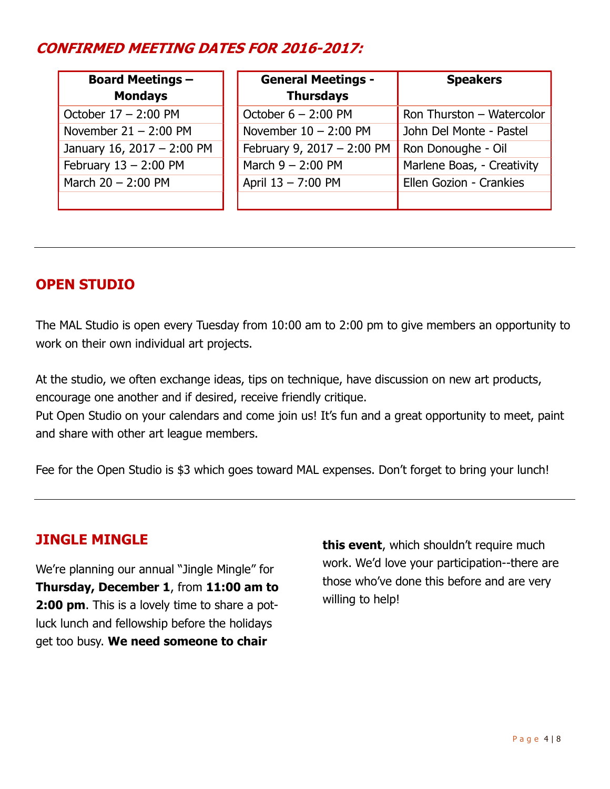# CONFIRMED MEETING DATES FOR 2016-2017:

| <b>Board Meetings -</b><br><b>Mondays</b> | <b>General Meetings -</b><br><b>Thursdays</b> | <b>Speakers</b>            |
|-------------------------------------------|-----------------------------------------------|----------------------------|
| October $17 - 2:00$ PM                    | October $6 - 2:00$ PM                         | Ron Thurston - Watercolor  |
| November $21 - 2:00$ PM                   | November $10 - 2:00$ PM                       | John Del Monte - Pastel    |
| January 16, 2017 - 2:00 PM                | February 9, 2017 - 2:00 PM                    | Ron Donoughe - Oil         |
| February $13 - 2:00$ PM                   | March $9 - 2:00$ PM                           | Marlene Boas, - Creativity |
| March $20 - 2:00$ PM                      | April 13 - 7:00 PM                            | Ellen Gozion - Crankies    |
|                                           |                                               |                            |

## OPEN STUDIO

The MAL Studio is open every Tuesday from 10:00 am to 2:00 pm to give members an opportunity to work on their own individual art projects.

At the studio, we often exchange ideas, tips on technique, have discussion on new art products, encourage one another and if desired, receive friendly critique.

Put Open Studio on your calendars and come join us! It's fun and a great opportunity to meet, paint and share with other art league members.

Fee for the Open Studio is \$3 which goes toward MAL expenses. Don't forget to bring your lunch!

#### JINGLE MINGLE

We're planning our annual "Jingle Mingle" for Thursday, December 1, from 11:00 am to 2:00 pm. This is a lovely time to share a potluck lunch and fellowship before the holidays get too busy. We need someone to chair

this event, which shouldn't require much work. We'd love your participation--there are those who've done this before and are very willing to help!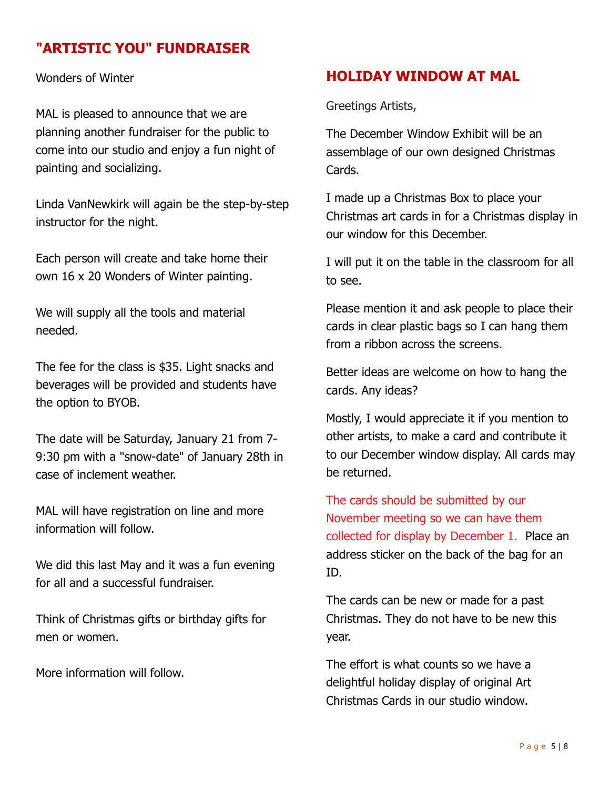## "ARTISTIC YOU" FUNDRAISER

Wonders of Winter

MAL is pleased to announce that we are planning another fundraiser for the public to come into our studio and enjoy a fun night of painting and socializing.

Linda VanNewkirk will again be the step-by-step instructor for the night.

Each person will create and take home their own 16 x 20 Wonders of Winter painting.

We will supply all the tools and material needed.

The fee for the class is \$35. Light snacks and beverages will be provided and students have the option to BYOB.

The date will be Saturday, January 21 from 7- 9:30 pm with a "snow-date" of January 28th in case of inclement weather.

MAL will have registration on line and more information will follow.

We did this last May and it was a fun evening for all and a successful fundraiser.

Think of Christmas gifts or birthday gifts for men or women.

More information will follow.

#### HOLIDAY WINDOW AT MAL

Greetings Artists,

The December Window Exhibit will be an assemblage of our own designed Christmas Cards.

I made up a Christmas Box to place your Christmas art cards in for a Christmas display in our window for this December.

I will put it on the table in the classroom for all to see.

Please mention it and ask people to place their cards in clear plastic bags so I can hang them from a ribbon across the screens.

Better ideas are welcome on how to hang the cards. Any ideas?

Mostly, I would appreciate it if you mention to other artists, to make a card and contribute it to our December window display. All cards may be returned.

The cards should be submitted by our November meeting so we can have them collected for display by December 1. Place an address sticker on the back of the bag for an ID.

The cards can be new or made for a past Christmas. They do not have to be new this year.

The effort is what counts so we have a delightful holiday display of original Art Christmas Cards in our studio window.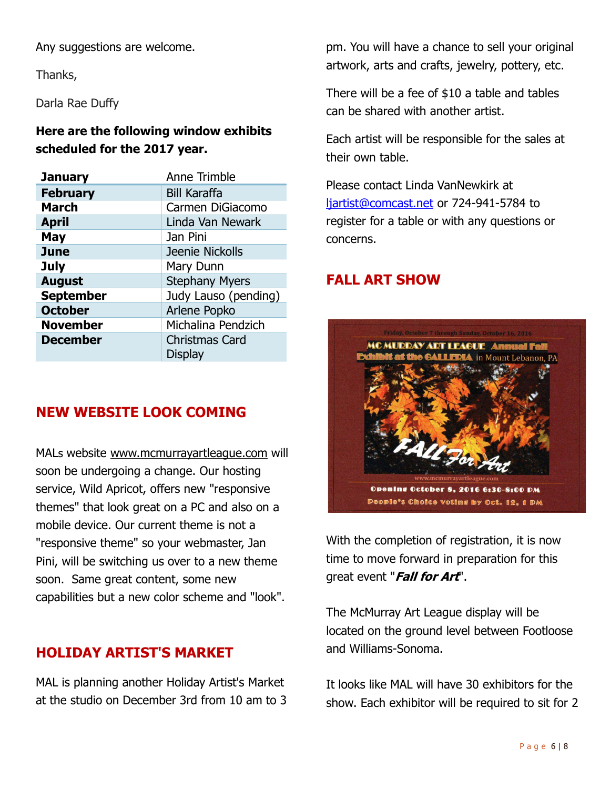Any suggestions are welcome.

Thanks,

Darla Rae Duffy

#### Here are the following window exhibits scheduled for the 2017 year.

| <b>January</b>   | Anne Trimble          |
|------------------|-----------------------|
| <b>February</b>  | <b>Bill Karaffa</b>   |
| <b>March</b>     | Carmen DiGiacomo      |
| <b>April</b>     | Linda Van Newark      |
| <b>May</b>       | Jan Pini              |
| <b>June</b>      | Jeenie Nickolls       |
| <b>July</b>      | Mary Dunn             |
| <b>August</b>    | <b>Stephany Myers</b> |
| <b>September</b> | Judy Lauso (pending)  |
| <b>October</b>   | Arlene Popko          |
| <b>November</b>  | Michalina Pendzich    |
| <b>December</b>  | <b>Christmas Card</b> |
|                  | <b>Display</b>        |

#### NEW WEBSITE LOOK COMING

MALs website www.mcmurrayartleague.com will soon be undergoing a change. Our hosting service, Wild Apricot, offers new "responsive themes" that look great on a PC and also on a mobile device. Our current theme is not a "responsive theme" so your webmaster, Jan Pini, will be switching us over to a new theme soon. Same great content, some new capabilities but a new color scheme and "look".

## HOLIDAY ARTIST'S MARKET

MAL is planning another Holiday Artist's Market at the studio on December 3rd from 10 am to 3 pm. You will have a chance to sell your original artwork, arts and crafts, jewelry, pottery, etc.

There will be a fee of \$10 a table and tables can be shared with another artist.

Each artist will be responsible for the sales at their own table.

Please contact Linda VanNewkirk at ljartist@comcast.net or 724-941-5784 to register for a table or with any questions or concerns.

### FALL ART SHOW



With the completion of registration, it is now time to move forward in preparation for this areat event "*Fall for Art*".

The McMurray Art League display will be located on the ground level between Footloose and Williams-Sonoma.

It looks like MAL will have 30 exhibitors for the show. Each exhibitor will be required to sit for 2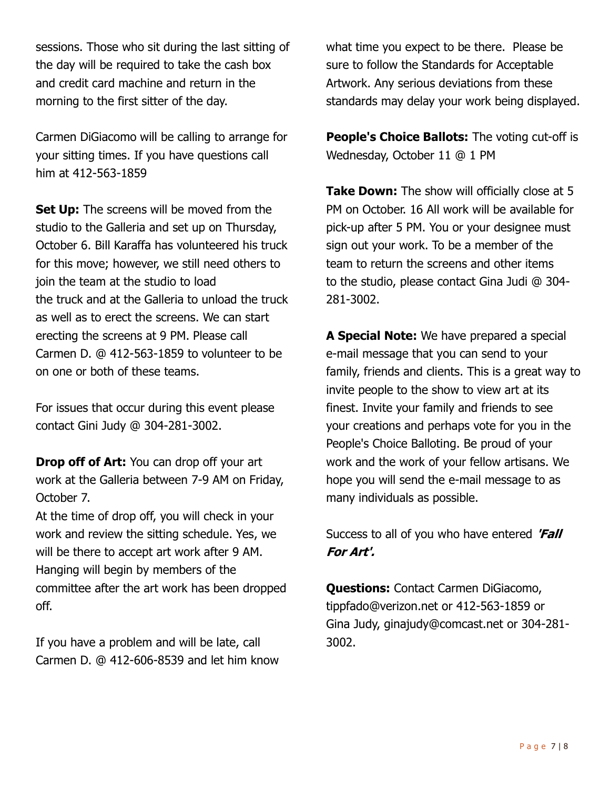sessions. Those who sit during the last sitting of the day will be required to take the cash box and credit card machine and return in the morning to the first sitter of the day.

Carmen DiGiacomo will be calling to arrange for your sitting times. If you have questions call him at 412-563-1859

**Set Up:** The screens will be moved from the studio to the Galleria and set up on Thursday, October 6. Bill Karaffa has volunteered his truck for this move; however, we still need others to join the team at the studio to load the truck and at the Galleria to unload the truck as well as to erect the screens. We can start erecting the screens at 9 PM. Please call Carmen D. @ 412-563-1859 to volunteer to be on one or both of these teams.

For issues that occur during this event please contact Gini Judy @ 304-281-3002.

**Drop off of Art:** You can drop off your art work at the Galleria between 7-9 AM on Friday, October 7.

At the time of drop off, you will check in your work and review the sitting schedule. Yes, we will be there to accept art work after 9 AM. Hanging will begin by members of the committee after the art work has been dropped off.

If you have a problem and will be late, call Carmen D. @ 412-606-8539 and let him know what time you expect to be there. Please be sure to follow the Standards for Acceptable Artwork. Any serious deviations from these standards may delay your work being displayed.

People's Choice Ballots: The voting cut-off is Wednesday, October 11 @ 1 PM

Take Down: The show will officially close at 5 PM on October. 16 All work will be available for pick-up after 5 PM. You or your designee must sign out your work. To be a member of the team to return the screens and other items to the studio, please contact Gina Judi @ 304- 281-3002.

A Special Note: We have prepared a special e-mail message that you can send to your family, friends and clients. This is a great way to invite people to the show to view art at its finest. Invite your family and friends to see your creations and perhaps vote for you in the People's Choice Balloting. Be proud of your work and the work of your fellow artisans. We hope you will send the e-mail message to as many individuals as possible.

Success to all of you who have entered 'Fall For Art'.

Questions: Contact Carmen DiGiacomo, tippfado@verizon.net or 412-563-1859 or Gina Judy, ginajudy@comcast.net or 304-281- 3002.